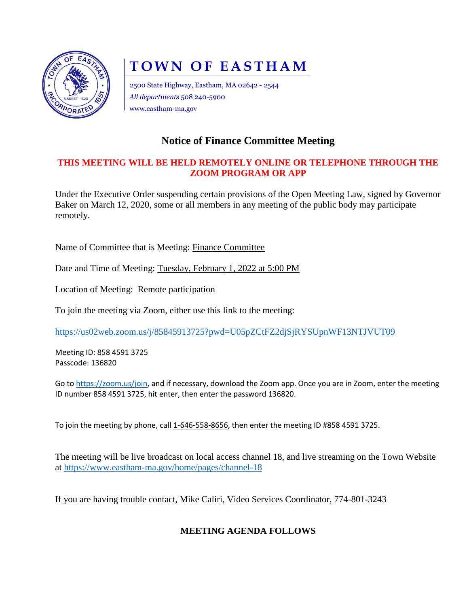

# **TOWN OF EASTHAM**

2500 State Highway, Eastham, MA 02642 - 2544 *All departments* 508 240-5900 www.eastham-ma.gov

## **Notice of Finance Committee Meeting**

#### **THIS MEETING WILL BE HELD REMOTELY ONLINE OR TELEPHONE THROUGH THE ZOOM PROGRAM OR APP**

Under the Executive Order suspending certain provisions of the Open Meeting Law, signed by Governor Baker on March 12, 2020, some or all members in any meeting of the public body may participate remotely.

Name of Committee that is Meeting: Finance Committee

Date and Time of Meeting: Tuesday, February 1, 2022 at 5:00 PM

Location of Meeting: Remote participation

To join the meeting via Zoom, either use this link to the meeting:

<https://us02web.zoom.us/j/85845913725?pwd=U05pZCtFZ2djSjRYSUpnWF13NTJVUT09>

Meeting ID: 858 4591 3725 Passcode: 136820

Go to [https://zoom.us/join,](https://zoom.us/join) and if necessary, download the Zoom app. Once you are in Zoom, enter the meeting ID number 858 4591 3725, hit enter, then enter the password 136820.

To join the meeting by phone, call 1-646-558-8656, then enter the meeting ID #858 4591 3725.

The meeting will be live broadcast on local access channel 18, and live streaming on the Town Website at<https://www.eastham-ma.gov/home/pages/channel-18>

If you are having trouble contact, Mike Caliri, Video Services Coordinator, 774-801-3243

### **MEETING AGENDA FOLLOWS**